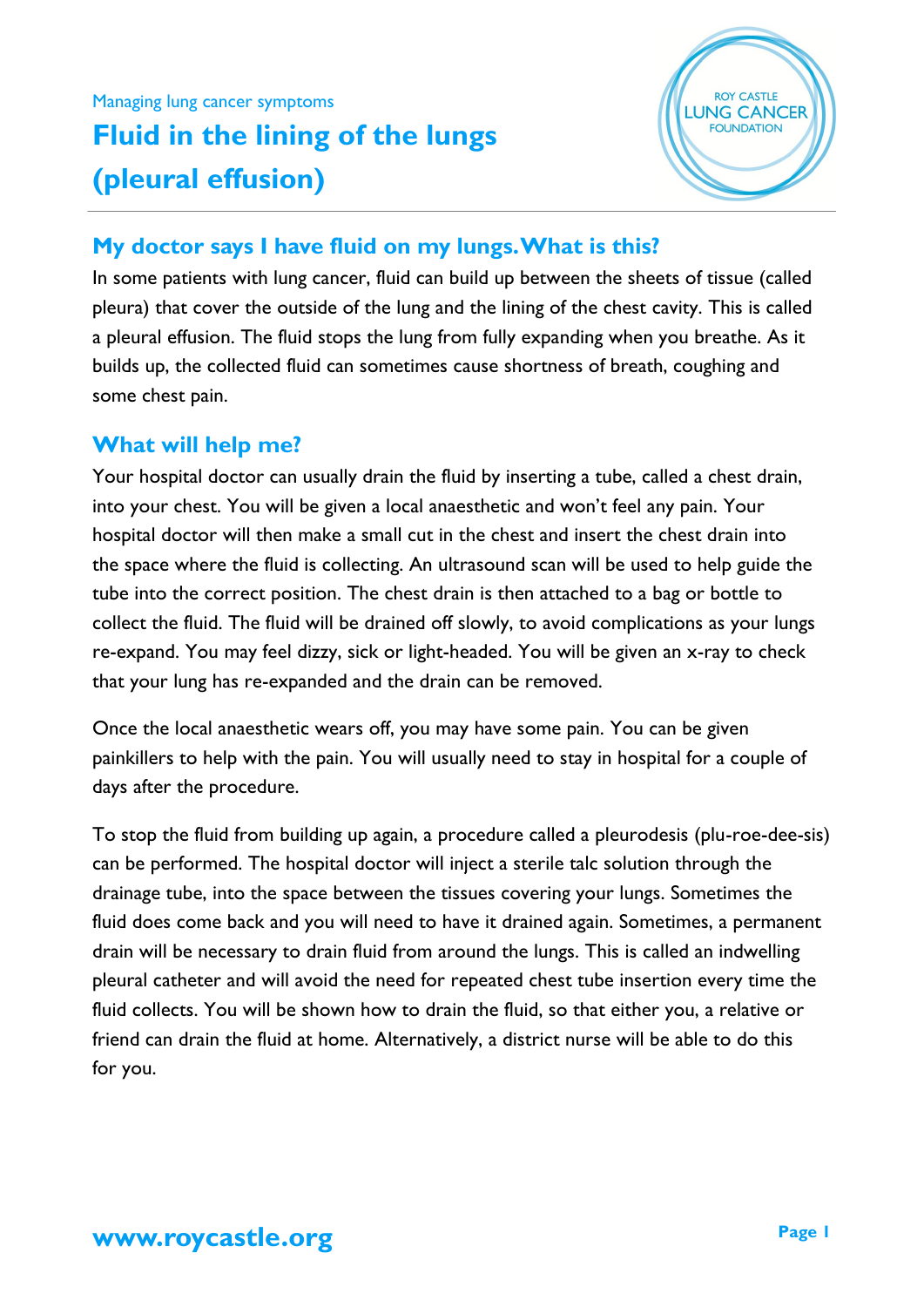## Managing lung cancer symptoms **Fluid in the lining of the lungs (pleural effusion)**



## **My doctor says I have fluid on my lungs. What is this?**

In some patients with lung cancer, fluid can build up between the sheets of tissue (called pleura) that cover the outside of the lung and the lining of the chest cavity. This is called a pleural effusion. The fluid stops the lung from fully expanding when you breathe. As it builds up, the collected fluid can sometimes cause shortness of breath, coughing and some chest pain.

## **What will help me?**

Your hospital doctor can usually drain the fluid by inserting a tube, called a chest drain, into your chest. You will be given a local anaesthetic and won't feel any pain. Your hospital doctor will then make a small cut in the chest and insert the chest drain into the space where the fluid is collecting. An ultrasound scan will be used to help guide the tube into the correct position. The chest drain is then attached to a bag or bottle to collect the fluid. The fluid will be drained off slowly, to avoid complications as your lungs re-expand. You may feel dizzy, sick or light-headed. You will be given an x-ray to check that your lung has re-expanded and the drain can be removed.

Once the local anaesthetic wears off, you may have some pain. You can be given painkillers to help with the pain. You will usually need to stay in hospital for a couple of days after the procedure.

To stop the fluid from building up again, a procedure called a pleurodesis (plu-roe-dee-sis) can be performed. The hospital doctor will inject a sterile talc solution through the drainage tube, into the space between the tissues covering your lungs. Sometimes the fluid does come back and you will need to have it drained again. Sometimes, a permanent drain will be necessary to drain fluid from around the lungs. This is called an indwelling pleural catheter and will avoid the need for repeated chest tube insertion every time the fluid collects. You will be shown how to drain the fluid, so that either you, a relative or friend can drain the fluid at home. Alternatively, a district nurse will be able to do this for you.